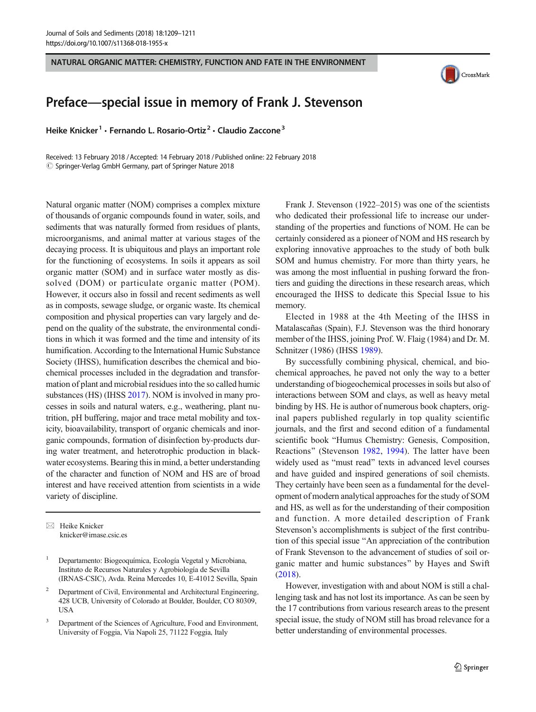NATURAL ORGANIC MATTER: CHEMISTRY, FUNCTION AND FATE IN THE ENVIRONMENT



## Preface—special issue in memory of Frank J. Stevenson

Heike Knicker<sup>1</sup> · Fernando L. Rosario-Ortiz<sup>2</sup> · Claudio Zaccone<sup>3</sup>

Received: 13 February 2018 /Accepted: 14 February 2018 /Published online: 22 February 2018  $\circled{c}$  Springer-Verlag GmbH Germany, part of Springer Nature 2018

Natural organic matter (NOM) comprises a complex mixture of thousands of organic compounds found in water, soils, and sediments that was naturally formed from residues of plants, microorganisms, and animal matter at various stages of the decaying process. It is ubiquitous and plays an important role for the functioning of ecosystems. In soils it appears as soil organic matter (SOM) and in surface water mostly as dissolved (DOM) or particulate organic matter (POM). However, it occurs also in fossil and recent sediments as well as in composts, sewage sludge, or organic waste. Its chemical composition and physical properties can vary largely and depend on the quality of the substrate, the environmental conditions in which it was formed and the time and intensity of its humification. According to the International Humic Substance Society (IHSS), humification describes the chemical and biochemical processes included in the degradation and transformation of plant and microbial residues into the so called humic substances (HS) (IHSS [2017\)](#page-2-0). NOM is involved in many processes in soils and natural waters, e.g., weathering, plant nutrition, pH buffering, major and trace metal mobility and toxicity, bioavailability, transport of organic chemicals and inorganic compounds, formation of disinfection by-products during water treatment, and heterotrophic production in blackwater ecosystems. Bearing this in mind, a better understanding of the character and function of NOM and HS are of broad interest and have received attention from scientists in a wide variety of discipline.

 $\boxtimes$  Heike Knicker [knicker@irnase.csic.es](mailto:knicker@irnase.csic.es)

<sup>1</sup> Departamento: Biogeoquímica, Ecología Vegetal y Microbiana, Instituto de Recursos Naturales y Agrobiología de Sevilla (IRNAS-CSIC), Avda. Reina Mercedes 10, E-41012 Sevilla, Spain

- <sup>2</sup> Department of Civil, Environmental and Architectural Engineering, 428 UCB, University of Colorado at Boulder, Boulder, CO 80309, USA
- Department of the Sciences of Agriculture, Food and Environment, University of Foggia, Via Napoli 25, 71122 Foggia, Italy

Frank J. Stevenson (1922–2015) was one of the scientists who dedicated their professional life to increase our understanding of the properties and functions of NOM. He can be certainly considered as a pioneer of NOM and HS research by exploring innovative approaches to the study of both bulk SOM and humus chemistry. For more than thirty years, he was among the most influential in pushing forward the frontiers and guiding the directions in these research areas, which encouraged the IHSS to dedicate this Special Issue to his memory.

Elected in 1988 at the 4th Meeting of the IHSS in Matalascañas (Spain), F.J. Stevenson was the third honorary member of the IHSS, joining Prof. W. Flaig (1984) and Dr. M. Schnitzer (1986) (IHSS [1989](#page-2-0)).

By successfully combining physical, chemical, and biochemical approaches, he paved not only the way to a better understanding of biogeochemical processes in soils but also of interactions between SOM and clays, as well as heavy metal binding by HS. He is author of numerous book chapters, original papers published regularly in top quality scientific journals, and the first and second edition of a fundamental scientific book "Humus Chemistry: Genesis, Composition, Reactions" (Stevenson [1982,](#page-2-0) [1994](#page-2-0)). The latter have been widely used as "must read" texts in advanced level courses and have guided and inspired generations of soil chemists. They certainly have been seen as a fundamental for the development of modern analytical approaches for the study of SOM and HS, as well as for the understanding of their composition and function. A more detailed description of Frank Stevenson's accomplishments is subject of the first contribution of this special issue "An appreciation of the contribution of Frank Stevenson to the advancement of studies of soil organic matter and humic substances^ by Hayes and Swift [\(2018\)](#page-2-0).

However, investigation with and about NOM is still a challenging task and has not lost its importance. As can be seen by the 17 contributions from various research areas to the present special issue, the study of NOM still has broad relevance for a better understanding of environmental processes.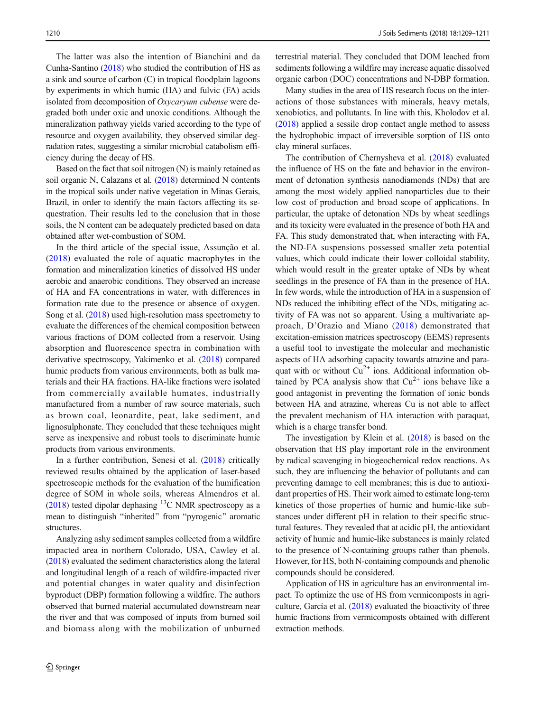The latter was also the intention of Bianchini and da Cunha-Santino [\(2018\)](#page-2-0) who studied the contribution of HS as a sink and source of carbon (C) in tropical floodplain lagoons by experiments in which humic (HA) and fulvic (FA) acids isolated from decomposition of Oxycaryum cubense were degraded both under oxic and unoxic conditions. Although the mineralization pathway yields varied according to the type of resource and oxygen availability, they observed similar degradation rates, suggesting a similar microbial catabolism efficiency during the decay of HS.

Based on the fact that soil nitrogen (N) is mainly retained as soil organic N, Calazans et al. ([2018](#page-2-0)) determined N contents in the tropical soils under native vegetation in Minas Gerais, Brazil, in order to identify the main factors affecting its sequestration. Their results led to the conclusion that in those soils, the N content can be adequately predicted based on data obtained after wet-combustion of SOM.

In the third article of the special issue, Assunção et al. [\(2018](#page-2-0)) evaluated the role of aquatic macrophytes in the formation and mineralization kinetics of dissolved HS under aerobic and anaerobic conditions. They observed an increase of HA and FA concentrations in water, with differences in formation rate due to the presence or absence of oxygen. Song et al. ([2018](#page-2-0)) used high-resolution mass spectrometry to evaluate the differences of the chemical composition between various fractions of DOM collected from a reservoir. Using absorption and fluorescence spectra in combination with derivative spectroscopy, Yakimenko et al. [\(2018\)](#page-2-0) compared humic products from various environments, both as bulk materials and their HA fractions. HA-like fractions were isolated from commercially available humates, industrially manufactured from a number of raw source materials, such as brown coal, leonardite, peat, lake sediment, and lignosulphonate. They concluded that these techniques might serve as inexpensive and robust tools to discriminate humic products from various environments.

In a further contribution, Senesi et al. ([2018\)](#page-2-0) critically reviewed results obtained by the application of laser-based spectroscopic methods for the evaluation of the humification degree of SOM in whole soils, whereas Almendros et al.  $(2018)$  tested dipolar dephasing <sup>13</sup>C NMR spectroscopy as a mean to distinguish "inherited" from "pyrogenic" aromatic structures.

Analyzing ashy sediment samples collected from a wildfire impacted area in northern Colorado, USA, Cawley et al. [\(2018\)](#page-2-0) evaluated the sediment characteristics along the lateral and longitudinal length of a reach of wildfire-impacted river and potential changes in water quality and disinfection byproduct (DBP) formation following a wildfire. The authors observed that burned material accumulated downstream near the river and that was composed of inputs from burned soil and biomass along with the mobilization of unburned

terrestrial material. They concluded that DOM leached from sediments following a wildfire may increase aquatic dissolved organic carbon (DOC) concentrations and N-DBP formation.

Many studies in the area of HS research focus on the interactions of those substances with minerals, heavy metals, xenobiotics, and pollutants. In line with this, Kholodov et al. [\(2018\)](#page-2-0) applied a sessile drop contact angle method to assess the hydrophobic impact of irreversible sorption of HS onto clay mineral surfaces.

The contribution of Chernysheva et al. ([2018](#page-2-0)) evaluated the influence of HS on the fate and behavior in the environment of detonation synthesis nanodiamonds (NDs) that are among the most widely applied nanoparticles due to their low cost of production and broad scope of applications. In particular, the uptake of detonation NDs by wheat seedlings and its toxicity were evaluated in the presence of both HA and FA. This study demonstrated that, when interacting with FA, the ND-FA suspensions possessed smaller zeta potential values, which could indicate their lower colloidal stability, which would result in the greater uptake of NDs by wheat seedlings in the presence of FA than in the presence of HA. In few words, while the introduction of HA in a suspension of NDs reduced the inhibiting effect of the NDs, mitigating activity of FA was not so apparent. Using a multivariate approach, D'Orazio and Miano [\(2018](#page-2-0)) demonstrated that excitation-emission matrices spectroscopy (EEMS) represents a useful tool to investigate the molecular and mechanistic aspects of HA adsorbing capacity towards atrazine and paraquat with or without  $Cu^{2+}$  ions. Additional information obtained by PCA analysis show that  $Cu^{2+}$  ions behave like a good antagonist in preventing the formation of ionic bonds between HA and atrazine, whereas Cu is not able to affect the prevalent mechanism of HA interaction with paraquat, which is a charge transfer bond.

The investigation by Klein et al. [\(2018\)](#page-2-0) is based on the observation that HS play important role in the environment by radical scavenging in biogeochemical redox reactions. As such, they are influencing the behavior of pollutants and can preventing damage to cell membranes; this is due to antioxidant properties of HS. Their work aimed to estimate long-term kinetics of those properties of humic and humic-like substances under different pH in relation to their specific structural features. They revealed that at acidic pH, the antioxidant activity of humic and humic-like substances is mainly related to the presence of N-containing groups rather than phenols. However, for HS, both N-containing compounds and phenolic compounds should be considered.

Application of HS in agriculture has an environmental impact. To optimize the use of HS from vermicomposts in agriculture, García et al. ([2018](#page-2-0)) evaluated the bioactivity of three humic fractions from vermicomposts obtained with different extraction methods.